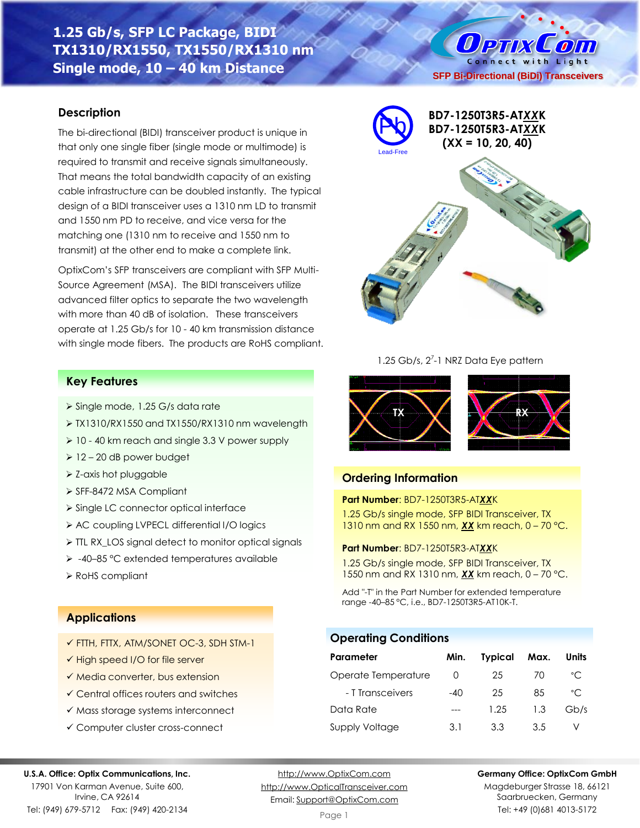# **1.25 Gb/s, SFP LC Package, BIDI TX1310/RX1550, TX1550/RX1310 nm Single mode, 10 – 40 km Distance**

### **Description**

The bi-directional (BIDI) transceiver product is unique in that only one single fiber (single mode or multimode) is required to transmit and receive signals simultaneously. That means the total bandwidth capacity of an existing cable infrastructure can be doubled instantly. The typical design of a BIDI transceiver uses a 1310 nm LD to transmit and 1550 nm PD to receive, and vice versa for the matching one (1310 nm to receive and 1550 nm to transmit) at the other end to make a complete link.

OptixCom's SFP transceivers are compliant with SFP Multi-Source Agreement (MSA). The BIDI transceivers utilize advanced filter optics to separate the two wavelength with more than 40 dB of isolation. These transceivers operate at 1.25 Gb/s for 10 - 40 km transmission distance with single mode fibers. The products are RoHS compliant.

### **Key Features**

- ➢ Single mode, 1.25 G/s data rate
- ➢ TX1310/RX1550 and TX1550/RX1310 nm wavelength
- ➢ 10 40 km reach and single 3.3 V power supply
- $\geq 12 20$  dB power budget
- ➢ Z-axis hot pluggable
- ➢ SFF-8472 MSA Compliant
- ➢ Single LC connector optical interface
- ➢ AC coupling LVPECL differential I/O logics
- ➢ TTL RX\_LOS signal detect to monitor optical signals
- ➢ -40–85 °C extended temperatures available
- ➢ RoHS compliant

### **Applications**

- ✓ FTTH, FTTX, ATM/SONET OC-3, SDH STM-1
- ✓ High speed I/O for file server
- ✓ Media converter, bus extension
- ✓ Central offices routers and switches
- ✓ Mass storage systems interconnect
- ✓ Computer cluster cross-connect

#### **U.S.A. Office: Optix Communications, Inc.**

17901 Von Karman Avenue, Suite 600, Irvine, CA 92614 Tel: (949) 679-5712 Fax: (949) 420-2134

[http://www.OptixCom.com](http://www.optixcom.com/) [http://www.OpticalTransceiver.com](http://www.optoictech.com/) Email: [Support@OptixCom.com](mailto:Support@optoICtech.com)

Page 1

#### **Germany Office: OptixCom GmbH**

Magdeburger Strasse 18, 66121 Saarbruecken, Germany Tel: +49 (0)681 4013-5172



O PTIX COM Connect with Light

### 1.25 Gb/s, 2<sup>7</sup>-1 NRZ Data Eye pattern



### **Ordering Information**

### **Part Number**: BD7-1250T3R5-AT*XX*K

1.25 Gb/s single mode, SFP BIDI Transceiver, TX 1310 nm and RX 1550 nm, *XX* km reach, 0 – 70 °C.

#### **Part Number**: BD7-1250T5R3-AT*XX*K

1.25 Gb/s single mode, SFP BIDI Transceiver, TX 1550 nm and RX 1310 nm, *XX* km reach, 0 – 70 °C.

Add "-T" in the Part Number for extended temperature range -40–85 °C, i.e., BD7-1250T3R5-AT10K-T.

### **Operating Conditions**

| Parameter             | Min.             | <b>Typical</b> | Max. | Units        |
|-----------------------|------------------|----------------|------|--------------|
| Operate Temperature   | $\left( \right)$ | 25             | 70   | °C           |
| - T Transceivers      | $-40$            | 25             | 85   | $^{\circ}$ C |
| Data Rate             |                  | 1.25           | 1.3  | Gb/s         |
| <b>Supply Voltage</b> | 3.1              | 3.3            | 3.5  |              |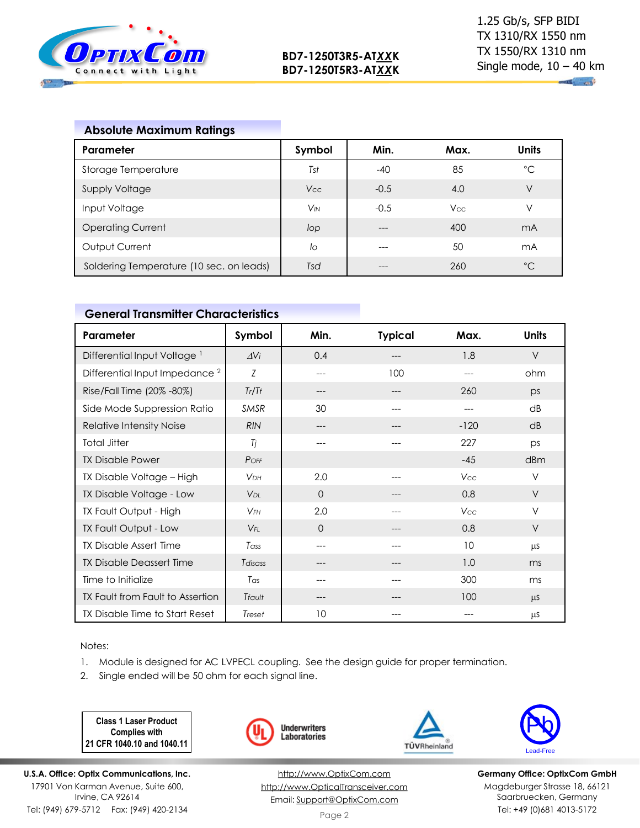

**All and** 

## **Absolute Maximum Ratings**

| Parameter                                | Symbol                | Min.   | Max.       | <b>Units</b> |
|------------------------------------------|-----------------------|--------|------------|--------------|
| Storage Temperature                      | Tst                   | $-40$  | 85         | $^{\circ}C$  |
| <b>Supply Voltage</b>                    | Vcc                   | $-0.5$ | 4.0        | ٧            |
| Input Voltage                            | <b>V<sub>IN</sub></b> | $-0.5$ | <b>Vcc</b> | ν            |
| <b>Operating Current</b>                 | lop                   | ---    | 400        | mA           |
| Output Current                           | lo                    | ---    | 50         | mA           |
| Soldering Temperature (10 sec. on leads) | Tsd                   |        | 260        | $^{\circ}C$  |

### **General Transmitter Characteristics**

| Parameter                                 | Symbol                 | Min.     | <b>Typical</b> | Max.   | <b>Units</b> |
|-------------------------------------------|------------------------|----------|----------------|--------|--------------|
| Differential Input Voltage <sup>1</sup>   | $\Delta$ Vi            | 0.4      | ---            | 1.8    | $\vee$       |
| Differential Input Impedance <sup>2</sup> | Z                      | ---      | 100            |        | ohm          |
| Rise/Fall Time (20% -80%)                 | Tr/Tr                  | ---      | ---            | 260    | DS           |
| Side Mode Suppression Ratio               | <b>SMSR</b>            | 30       |                | ---    | dB           |
| Relative Intensity Noise                  | <b>RIN</b>             | ---      | ---            | $-120$ | dB           |
| <b>Total Jitter</b>                       | Ti                     | ---      | ---            | 227    | DS           |
| <b>TX Disable Power</b>                   | POFF                   |          |                | $-45$  | dBm          |
| TX Disable Voltage - High                 | <b>VDH</b>             | 2.0      |                | Vcc    | V            |
| TX Disable Voltage - Low                  | <b>V</b> <sub>DL</sub> | $\Omega$ |                | 0.8    | $\vee$       |
| TX Fault Output - High                    | $V_{FH}$               | 2.0      |                | Vcc    | V            |
| TX Fault Output - Low                     | $V_{FI}$               | $\Omega$ |                | 0.8    | V            |
| TX Disable Assert Time                    | Tass                   | ---      | ---            | 10     | μS           |
| <b>TX Disable Deassert Time</b>           | Tdisass                | ---      | ---            | 1.0    | ms           |
| Time to Initialize                        | Tas                    | $---$    | ---            | 300    | ms           |
| TX Fault from Fault to Assertion          | Tfault                 | ---      |                | 100    | <b>LLS</b>   |
| TX Disable Time to Start Reset            | Treset                 | 10       |                |        | μS           |

Notes:

- 1. Module is designed for AC LVPECL coupling. See the design guide for proper termination.
- 2. Single ended will be 50 ohm for each signal line.

**Class 1 Laser Product Complies with 21 CFR 1040.10 and 1040.11**

**U.S.A. Office: Optix Communications, Inc.** 17901 Von Karman Avenue, Suite 600, Irvine, CA 92614 Tel: (949) 679-5712 Fax: (949) 420-2134







**Germany Office: OptixCom GmbH** Magdeburger Strasse 18, 66121 Saarbruecken, Germany Tel: +49 (0)681 4013-5172

[http://www.OptixCom.com](http://www.optixcom.com/) [http://www.OpticalTransceiver.com](http://www.optoictech.com/)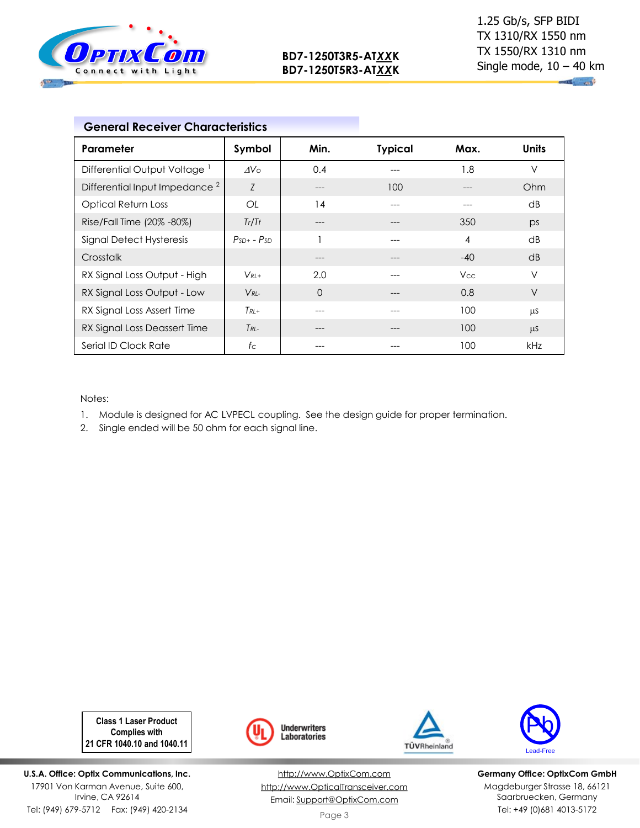

 $\mathbb{R}^n$ 

|                                           | <b>General Receiver Characteristics</b> |             |                |       |       |
|-------------------------------------------|-----------------------------------------|-------------|----------------|-------|-------|
| Parameter                                 | Symbol                                  | Min.        | <b>Typical</b> | Max.  | Units |
| Differential Output Voltage <sup>1</sup>  | $\Delta V \circ$                        | 0.4         |                | 1.8   | V     |
| Differential Input Impedance <sup>2</sup> | Z                                       | ---         | 100            |       | Ohm   |
| <b>Optical Return Loss</b>                | OL                                      | 14          |                |       | dB    |
| Rise/Fall Time (20% -80%)                 | Tr/Tr                                   | ---         |                | 350   | ps    |
| <b>Signal Detect Hysteresis</b>           | $PsD+ - PsD$                            |             |                | 4     | dB    |
| Crosstalk                                 |                                         |             |                | $-40$ | dB    |
| RX Signal Loss Output - High              | $V_{RI+}$                               | 2.0         |                | Vcc   | V     |
| RX Signal Loss Output - Low               | $V_{RL}$                                | $\mathbf 0$ |                | 0.8   | V     |
| RX Signal Loss Assert Time                | $T_{RL+}$                               | ---         |                | 100   | μS    |
| RX Signal Loss Deassert Time              | $T_{RL-}$                               | ---         |                | 100   | μS    |
| Serial ID Clock Rate                      | $f_{\rm C}$                             |             |                | 100   | kHz   |

Notes:

1. Module is designed for AC LVPECL coupling. See the design guide for proper termination.

2. Single ended will be 50 ohm for each signal line.

**Class 1 Laser Product Complies with 21 CFR 1040.10 and 1040.11**

**U.S.A. Office: Optix Communications, Inc.** 17901 Von Karman Avenue, Suite 600, Irvine, CA 92614 Tel: (949) 679-5712 Fax: (949) 420-2134



[http://www.OptixCom.com](http://www.optixcom.com/) [http://www.OpticalTransceiver.com](http://www.optoictech.com/) Email: [Support@OptixCom.com](mailto:Support@optoICtech.com)





**Germany Office: OptixCom GmbH** Magdeburger Strasse 18, 66121 Saarbruecken, Germany Tel: +49 (0)681 4013-5172